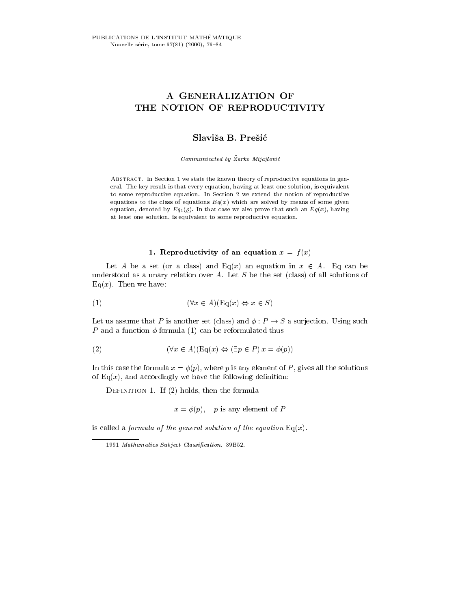# A GENERALIZATION OF THE NOTION OF REPRODUCTIVITY

Communicated by Žarko Mijajlović

Abstract. In Section 1 we state the known theory of reproductive equations in general. The key result is that every equation, having at least one solution, is equivalent to some reproductive equation. In Section 2 we extend the notion of reproductive equations to the class of equations  $Eq(x)$  which are solved by means of some given equation, denoted by  $Eq_1(\varrho)$ . In that case we also prove that such an  $Eq(x)$ , having at least one solution, is equivalent to some reproductive equation.

#### **1.** Reproductivity of an equation  $x = f(x)$

Let A be a set (or a class) and Eq(x) an equation in  $x \in A$ . Eq can be understood as a unary relation over  $A$ . Let  $S$  be the set (class) of all solutions of  $Eq(x)$ . Then we have:

$$
(1) \qquad (\forall x \in A)(\text{Eq}(x) \Leftrightarrow x \in S)
$$

Let us assume that P is another set (class) and  $\phi : P \to S$  a surjection. Using such P and a function  $\phi$  formula (1) can be reformulated thus

(2) 
$$
(\forall x \in A)(\text{Eq}(x) \Leftrightarrow (\exists p \in P) x = \phi(p))
$$

In this case the formula  $x = \phi(p)$ , where p is any element of P, gives all the solutions of  $Eq(x)$ , and accordingly we have the following definition:

DEFINITION 1. If  $(2)$  holds, then the formula

$$
x = \phi(p)
$$
, p is any element of P

is called a formula of the general solution of the equation  $Eq(x)$ .

<sup>1991</sup> Mathematics Subject Classification. 39B52.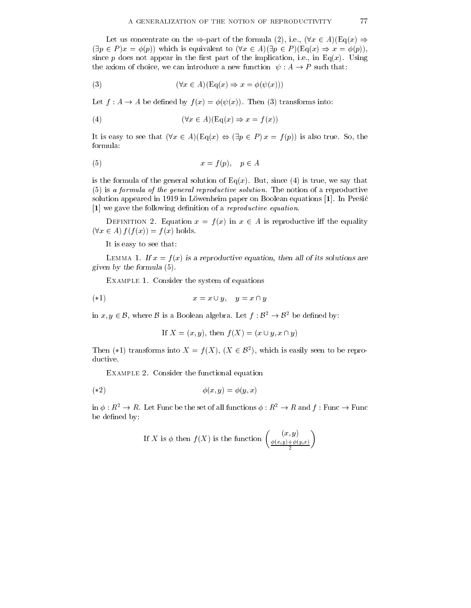Let us concentrate on the  $\Rightarrow$ -part of the formula (2), i.e.,  $(\forall x \in A)(\text{Eq}(x) \Rightarrow$  $(\exists p \in P) x = \phi(p)$  which is equivalent to  $(\forall x \in A)(\exists p \in P)$  (Eq(x)  $\Rightarrow x = \phi(p)$ ), since p does not appear in the first part of the implication, i.e., in Eq(x). Using the axiom of choice, we can introduce a new function  $\psi : A \to P$  such that:

(3) 
$$
(\forall x \in A)(\text{Eq}(x) \Rightarrow x = \phi(\psi(x)))
$$

Let  $f : A \to A$  be defined by  $f(x) = \phi(\psi(x))$ . Then (3) transforms into:

(4) 
$$
(\forall x \in A)(\text{Eq}(x) \Rightarrow x = f(x))
$$

It is easy to see that  $(\forall x \in A)(Eq(x) \Leftrightarrow (\exists p \in P) x = f(p))$  is also true. So, the formula:

$$
(5) \t\t x = f(p), \quad p \in A
$$

is the formula of the general solution of  $Eq(x)$ . But, since (4) is true, we say that (5) is <sup>a</sup> formula of the general reproductive solution. The notion of a reproductive solution appeared in 1919 in Löwenheim paper on Boolean equations  $[1]$ . In Presic [1] we gave the following definition of a *reproductive equation*.

DEFINITION 2. Equation  $x = f(x)$  in  $x \in A$  is reproductive iff the equality  $(\forall x \in A) f(f(x)) = f(x)$  holds.

It is easy to see that:

LEMMA 1. If  $x = f(x)$  is a reproductive equation, then all of its solutions are given by the formula (5).

Example 1. Consider the system of equations

$$
x = x \cup y, \quad y = x \cap y
$$

in  $x, y \in \mathcal{B}$ , where  $\mathcal{B}$  is a Boolean algebra. Let  $f : \mathcal{B}^2 \to \mathcal{B}^2$  be defined by:

If 
$$
X = (x, y)
$$
, then  $f(X) = (x \cup y, x \cap y)$ 

Then (\*1) transforms into  $X = f(X)$ ,  $(X \in \mathcal{B}^2)$ , which is easily seen to be reproductive.

Example 2. Consider the functional equation

$$
(*)2
$$
\n
$$
\phi(x,y) = \phi(y,x)
$$

in  $\phi : R^2 \to R$ . Let Func be the set of all functions  $\phi : R^2 \to R$  and  $f :$  Func  $\to$  Func be defined by:

If X is 
$$
\phi
$$
 then  $f(X)$  is the function  $\begin{pmatrix} (x, y) \\ \frac{\phi(x, y) + \phi(y, x)}{2} \end{pmatrix}$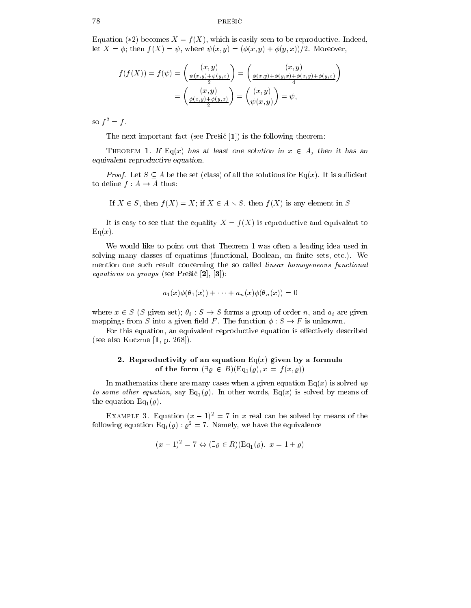## $78$  PREŠIĆ

Equation (\*2) becomes  $X = f(X)$ , which is easily seen to be reproductive. Indeed, let  $X = \phi$ ; then  $f(X) = \psi$ , where  $\psi(x, y) = (\phi(x, y) + \phi(y, x))/2$ . Moreover,

$$
f(f(X)) = f(\psi) = \begin{pmatrix} (x, y) \\ \frac{\psi(x, y) + \psi(y, x)}{2} \end{pmatrix} = \begin{pmatrix} (x, y) \\ \frac{\phi(x, y) + \phi(y, x) + \phi(y, x) + \phi(y, x)}{4} \end{pmatrix}
$$

$$
= \begin{pmatrix} (x, y) \\ \frac{\phi(x, y) + \phi(y, x)}{2} \end{pmatrix} = \begin{pmatrix} (x, y) \\ \psi(x, y) \end{pmatrix} = \psi,
$$

so  $f^2 = f$ .

The next important fact (see Presic [1]) is the following theorem:

THEOREM 1. If Eq(x) has at least one solution in  $x \in A$ , then it has an equivalent reproductive equation.

*Proof.* Let  $S \subseteq A$  be the set (class) of all the solutions for Eq(x). It is sufficient to define  $f : A \to A$  thus:

If  $X \in S$ , then  $f(X) = X$ ; if  $X \in A \setminus S$ , then  $f(X)$  is any element in S

It is easy to see that the equality  $X = f(X)$  is reproductive and equivalent to  $Eq(x).$ 

We would like to point out that Theorem 1 was often a leading idea used in solving many classes of equations (functional, Boolean, on finite sets, etc.). We mention one such result concerning the so called *linear homogeneous functional* equations on groups (see Fresh [2],  $|3|$ ).

$$
a_1(x)\phi(\theta_1(x)) + \cdots + a_n(x)\phi(\theta_n(x)) = 0
$$

where  $x \in S$  (S given set);  $\theta_i : S \to S$  forms a group of order n, and  $a_i$  are given mappings from S into a given field F. The function  $\phi : S \to F$  is unknown.

For this equation, an equivalent reproductive equation is effectively described (see also Kuczma [1, p. 268]).

# 2. Reproductivity of an equation Eq(x) given by a formula of the form  $(\exists \varrho \in B)(\text{Eq}_1(\varrho), x = f(x, \varrho))$

In mathematics there are many cases when a given equation  $Eq(x)$  is solved up to some other equation, say Eq1(%). In other words, Eq(x) is solved by means of the equation Eq<sub>1</sub>( $\varrho$ ).

EXAMPLE 3. Equation  $(x - 1)^2 = 7$  in x real can be solved by means of the following equation Eq<sub>1</sub>( $\varrho$ ) :  $\varrho^2 = 7$ . Namely, we have the equivalence

$$
(x-1)^2 = 7 \Leftrightarrow (\exists \varrho \in R)(\text{Eq}_1(\varrho), x = 1 + \varrho)
$$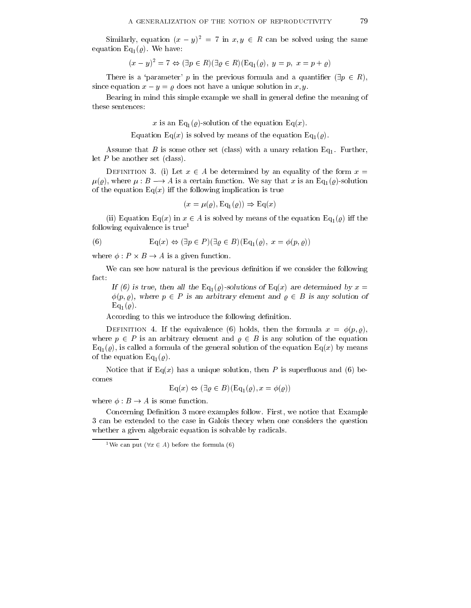Similarly, equation  $(x - y)^2 = 7$  in  $x, y \in R$  can be solved using the same equation Eq<sub>1</sub>( $\varrho$ ). We have:

$$
(x - y)^2 = 7 \Leftrightarrow (\exists p \in R)(\exists \varrho \in R)(\text{Eq}_1(\varrho), y = p, x = p + \varrho)
$$

There is a 'parameter' p in the previous formula and a quantifier  $(\exists p \in R)$ , since equation  $x - y = \rho$  does not have a unique solution in x, y.

Bearing in mind this simple example we shall in general define the meaning of these sentences:

x is an Eq<sub>1</sub>( $\varrho$ )-solution of the equation Eq(x).

Equation Eq(x) is solved by means of the equation Eq<sub>1</sub>( $\varrho$ ).

Assume that B is some other set (class) with a unary relation  $Eq_1$ . Further, let P be another set (class).

DEFINITION 3. (i) Let  $x \in A$  be determined by an equality of the form  $x =$  $\mu(\varrho)$ , where  $\mu : B \longrightarrow A$  is a certain function. We say that x is an Eq<sub>1</sub>( $\varrho$ )-solution of the equation  $Eq(x)$  iff the following implication is true

$$
(x = \mu(\varrho), \operatorname{Eq}_1(\varrho)) \Rightarrow \operatorname{Eq}(x)
$$

(ii) Equation Eq(x) in  $x \in A$  is solved by means of the equation Eq<sub>1</sub>( $\varrho$ ) iff the following equivalence is  $true<sup>1</sup>$ 

(6) 
$$
Eq(x) \Leftrightarrow (\exists p \in P)(\exists \varrho \in B)(Eq_1(\varrho), x = \varphi(p, \varrho))
$$

where  $\phi : P \times B \to A$  is a given function.

We can see how natural is the previous definition if we consider the following fact:

If (6) is true, then all the Eq<sub>1</sub>( $\varrho$ )-solutions of Eq(x) are determined by x =  $\phi(p, \varrho)$ , where  $p \in P$  is an arbitrary element and  $\varrho \in B$  is any solution of  $Eq_1(\rho)$ .

According to this we introduce the following definition.

DEFINITION 4. If the equivalence (6) holds, then the formula  $x = \phi(p, \rho)$ , where  $p \in P$  is an arbitrary element and  $\rho \in B$  is any solution of the equation  $Eq<sub>1</sub>(\varrho)$ , is called a formula of the general solution of the equation Eq(x) by means of the equation  $Eq_1(\rho)$ .

Notice that if Eq(x) has a unique solution, then P is superfluous and (6) becomes

$$
\text{Eq}(x) \Leftrightarrow (\exists \varrho \in B)(\text{Eq}_1(\varrho), x = \phi(\varrho))
$$

where  $\phi : B \to A$  is some function.

Concerning Definition 3 more examples follow. First, we notice that Example 3 can be extended to the case in Galois theory when one considers the question whether a given algebraic equation is solvable by radicals.

<sup>&</sup>lt;sup>1</sup>We can put  $(\forall x \in A)$  before the formula (6)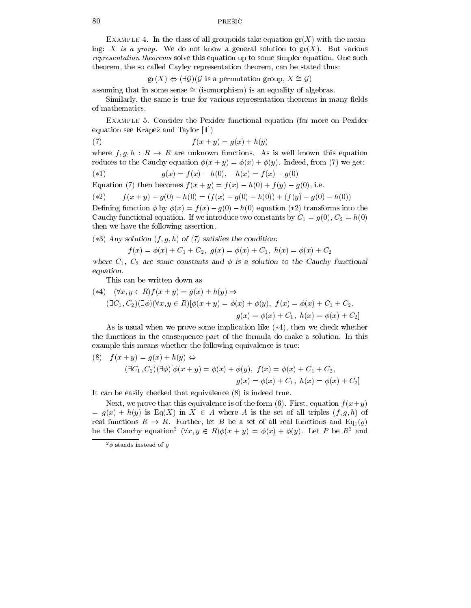EXAMPLE 4. In the class of all groupoids take equation  $\text{gr}(X)$  with the meaning: X is a group. We do not know a general solution to  $gr(X)$ . But various representation theorems solve this equation up to some simpler equation. One such theorem, the so called Cayley representation theorem, can be stated thus:

 $gr(X) \Leftrightarrow (\exists \mathcal{G}) (\mathcal{G}$  is a permutation group,  $X \cong \mathcal{G}$ )

assuming that in some sense  $\cong$  (isomorphism) is an equality of algebras.

Similarly, the same is true for various representation theorems in many fields of mathematics.

Example 5. Consider the Pexider functional equation (for more on Pexider equation see Krapez and Taylor [1])

$$
(7) \qquad \qquad f(x+y) = g(x) + h(y)
$$

where  $f, g, h : R \to R$  are unknown functions. As is well known this equation reduces to the Cauchy equation  $\phi(x + y) = \phi(x) + \phi(y)$ . Indeed, from (7) we get:

$$
(*)1
$$
  $g(x) = f(x) - h(0), \quad h(x) = f(x) - g(0)$ 

Equation (7) then becomes  $f(x + y) = f(x) - h(0) + f(y) - g(0)$ , i.e.

$$
(*)\qquad f(x+y) - g(0) - h(0) = (f(x) - g(0) - h(0)) + (f(y) - g(0) - h(0))
$$

Defining function  $\phi$  by  $\phi(x) = f(x) - g(0) - h(0)$  equation (\*2) transforms into the Cauchy functional equation. If we introduce two constants by  $C_1 = g(0), C_2 = h(0)$ then we have the following assertion.

(\*3) Any solution  $(f, g, h)$  of  $(7)$  satisfies the condition:

$$
f(x) = \phi(x) + C_1 + C_2, \ g(x) = \phi(x) + C_1, \ h(x) = \phi(x) + C_2
$$

where  $C_1$ ,  $C_2$  are some constants and  $\phi$  is a solution to the Cauchy functional equation.

This can be written down as

$$
(\ast 4) \quad (\forall x, y \in R) f(x + y) = g(x) + h(y) \Rightarrow
$$
  

$$
(\exists C_1, C_2) (\exists \phi) (\forall x, y \in R) [\phi(x + y) = \phi(x) + \phi(y), f(x) = \phi(x) + C_1 + C_2,
$$
  

$$
g(x) = \phi(x) + C_1, h(x) = \phi(x) + C_2]
$$

As is usual when we prove some implication like  $(*4)$ , then we check whether the functions in the consequence part of the formula do make a solution. In this example this means whether the following equivalence is true:

(8) 
$$
f(x + y) = g(x) + h(y) \Leftrightarrow
$$
  
\n
$$
(\exists C_1, C_2) (\exists \phi) [\phi(x + y) = \phi(x) + \phi(y), \ f(x) = \phi(x) + C_1 + C_2,
$$
\n
$$
g(x) = \phi(x) + C_1, \ h(x) = \phi(x) + C_2]
$$

It can be easily checked that equivalence (8) is indeed true.

Next, we prove that this equivalence is of the form (6). First, equation  $f(x+y)$  $= g(x) + h(y)$  is Eq(X) in  $X \in A$  where A is the set of all triples  $(f, g, h)$  of real functions  $R \to R$ . Further, let B be a set of all real functions and Eq<sub>1</sub>( $\varrho$ ) be the Cauchy equation<sup>2</sup>  $(\forall x, y \in R)\phi(x + y) = \phi(x) + \phi(y)$ . Let P be  $R^2$  and

 $^{2}\phi$  stands instead of  $\varrho$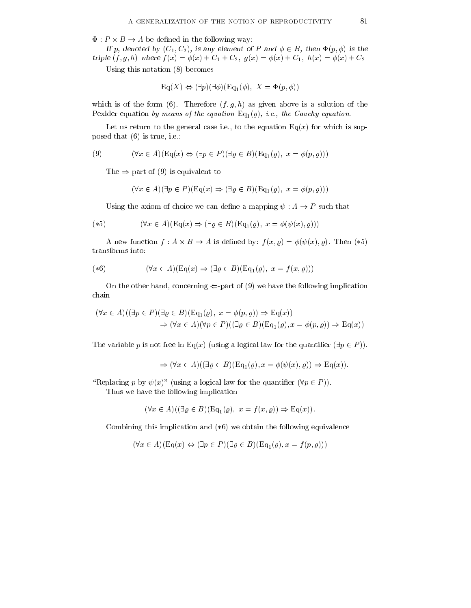$\Phi: P \times B \to A$  be defined in the following way:

If p, denoted by  $(C_1, C_2)$ , is any element of P and  $\phi \in B$ , then  $\Phi(p, \phi)$  is the triple  $(f, g, h)$  where  $f(x) = \phi(x) + C_1 + C_2$ ,  $g(x) = \phi(x) + C_1$ ,  $h(x) = \phi(x) + C_2$ 

Using this notation (8) becomes

$$
\mathrm{Eq}(X) \Leftrightarrow (\exists p)(\exists \phi)(\mathrm{Eq}_{1}(\phi), X = \Phi(p, \phi))
$$

which is of the form (6). Therefore  $(f, g, h)$  as given above is a solution of the Pexider equation by means of the equation  $Eq_1(\rho)$ , i.e., the Cauchy equation.

Let us return to the general case i.e., to the equation  $Eq(x)$  for which is supposed that (6) is true, i.e.:

(9) 
$$
(\forall x \in A)(\text{Eq}(x) \Leftrightarrow (\exists p \in P)(\exists \varrho \in B)(\text{Eq}_1(\varrho), x = \varphi(p, \varrho)))
$$

The  $\Rightarrow$ -part of (9) is equivalent to

$$
(\forall x \in A)(\exists p \in P)(\text{Eq}(x) \Rightarrow (\exists \varrho \in B)(\text{Eq}_1(\varrho), x = \varphi(p, \varrho)))
$$

Using the axiom of choice we can define a mapping  $\psi : A \to P$  such that

$$
(\ast 5) \qquad (\forall x \in A)(\text{Eq}(x) \Rightarrow (\exists \varrho \in B)(\text{Eq}_1(\varrho), x = \phi(\psi(x), \varrho)))
$$

A new function  $f: A \times B \to A$  is defined by:  $f(x, \rho) = \phi(\psi(x), \rho)$ . Then  $(*\mathfrak{d})$ transforms into:

$$
(*6) \qquad (\forall x \in A)(\text{Eq}(x) \Rightarrow (\exists \varrho \in B)(\text{Eq}_1(\varrho), x = f(x, \varrho)))
$$

On the other hand, concerning  $\Leftarrow$ -part of (9) we have the following implication chain

$$
(\forall x \in A)((\exists p \in P)(\exists \varrho \in B)(\text{Eq}_1(\varrho), x = \phi(p, \varrho)) \Rightarrow \text{Eq}(x))
$$
  

$$
\Rightarrow (\forall x \in A)(\forall p \in P)((\exists \varrho \in B)(\text{Eq}_1(\varrho), x = \phi(p, \varrho)) \Rightarrow \text{Eq}(x))
$$

The variable p is not free in Eq(x) (using a logical law for the quantifier  $(\exists p \in P)$ ).

$$
\Rightarrow (\forall x \in A)((\exists \varrho \in B)(Eq_1(\varrho), x = \phi(\psi(x), \varrho)) \Rightarrow Eq(x)).
$$

"Replacing p by  $\psi(x)$ " (using a logical law for the quantifier  $(\forall p \in P)$ ). Thus we have the following implication

$$
(\forall x \in A)((\exists \varrho \in B)(\text{Eq}_1(\varrho), x = f(x, \varrho)) \Rightarrow \text{Eq}(x)).
$$

Combining this implication and  $(*6)$  we obtain the following equivalence

$$
(\forall x \in A)(\text{Eq}(x) \Leftrightarrow (\exists p \in P)(\exists \varrho \in B)(\text{Eq}_1(\varrho), x = f(p, \varrho)))
$$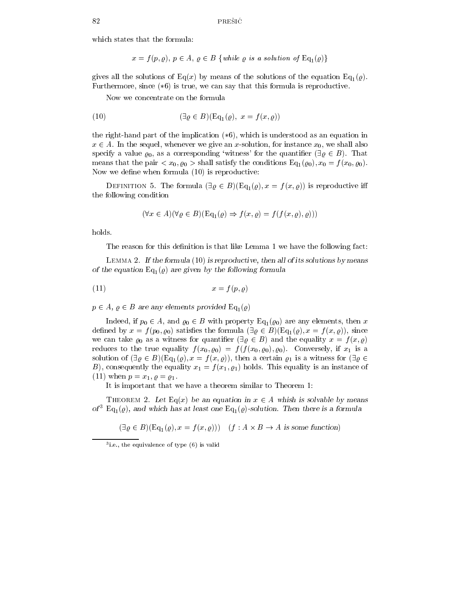which states that the formula:

 $x = f(p, \varrho), p \in A, \varrho \in B$  {while  $\varrho$  is a solution of  $\text{Eq}_1(\varrho)$ }

gives all the solutions of Eq(x) by means of the solutions of the equation Eq<sub>1</sub>( $\varrho$ ). Furthermore, since  $(*6)$  is true, we can say that this formula is reproductive.

Now we concentrate on the formula

(10) 
$$
(\exists \varrho \in B)(\text{Eq}_1(\varrho), x = f(x, \varrho))
$$

the right-hand part of the implication  $(*6)$ , which is understood as an equation in  $x \in A$ . In the sequel, whenever we give an x-solution, for instance  $x_0$ , we shall also specify a value  $\varrho_0$ , as a corresponding 'witness' for the quantifier  $(\exists \varrho \in B)$ . That means that the pair  $\langle x_0, \varrho_0 \rangle$  shall satisfy the conditions  $\mathrm{Eq}_1(\varrho_0), x_0 = f(x_0, \varrho_0)$ . Now we define when formula  $(10)$  is reproductive:

DEFINITION 5. The formula  $(\exists \varrho \in B)(\text{Eq}_1(\varrho), x = f(x, \varrho))$  is reproductive iff the following condition

$$
(\forall x \in A)(\forall \varrho \in B)(Eq_1(\varrho) \Rightarrow f(x, \varrho) = f(f(x, \varrho), \varrho)))
$$

holds.

The reason for this definition is that like Lemma 1 we have the following fact:

LEMMA 2. If the formula  $(10)$  is reproductive, then all of its solutions by means of the equation  $Eq_1(\rho)$  are given by the following formula

$$
(11) \t\t x = f(p, \varrho)
$$

 $p \in A$ ,  $\varrho \in B$  are any elements provided  $\text{Eq}_1(\varrho)$ 

Indeed, if  $p_0 \in A$ , and  $\varrho_0 \in B$  with property Eq<sub>1</sub>( $\varrho_0$ ) are any elements, then x defined by  $x = f(p_0, \varrho_0)$  satisfies the formula  $(\exists \varrho \in B)(\text{Eq}_1(\varrho), x = f(x, \varrho))$ , since we can take  $\varrho_0$  as a witness for quantifier  $(\exists \varrho \in B)$  and the equality  $x = f(x, \varrho)$ reduces to the true equality  $f(x_0, \varrho_0) = f(f(x_0, \varrho_0), \varrho_0)$ . Conversely, if  $x_1$  is a solution of  $(\exists \varrho \in B)(\text{Eq}_1(\varrho), x = f(x, \varrho))$ , then a certain  $\varrho_1$  is a witness for  $(\exists \varrho \in B)(\text{Eq}_1(\varrho), x = f(x, \varrho))$ B), consequently the equality  $x_1 = f(x_1, \varrho_1)$  holds. This equality is an instance of (11) when  $p = x_1, \varrho = \varrho_1$ .

It is important that we have a theorem similar to Theorem 1:

THEOREM 2. Let Eq(x) be an equation in  $x \in A$  whish is solvable by means of<sup>3</sup> Eq<sub>1</sub>( $\varrho$ ), and which has at least one Eq<sub>1</sub>( $\varrho$ )-solution. Then there is a formula

 $(\exists \varrho \in B)(\text{Eq}_1(\varrho), x = f(x, \varrho))$   $(f : A \times B \to A$  is some function)

<sup>3</sup> i.e., the equivalence of type (6) is valid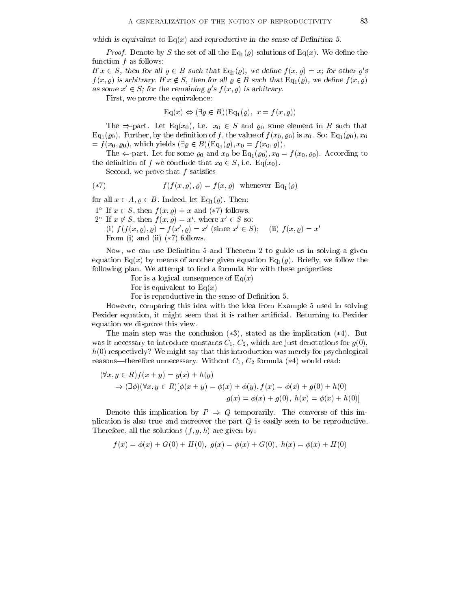which is equivalent to  $Eq(x)$  and reproductive in the sense of Definition 5.

 $P_{\text{1}}$  is denote by S the set of all the Eq<sub>1</sub>( $\epsilon$ )-solutions of Eq( $\epsilon$ ). We define the function  $f$  as follows:

If  $x \in S$ , then for all  $\varrho \in B$  such that  $\text{Eq}_1(\varrho)$ , we define  $f(x, \varrho) = x$ ; for other  $\varrho's$  $f(x, \varrho)$  is arbitrary. If  $x \notin S$ , then for all  $\varrho \in B$  such that  $\text{Eq}_1(\varrho)$ , we define  $f(x, \varrho)$ as some  $x' \in S$ ; for the remaining  $\rho' s f (x, \rho)$  is arbitrary.

First, we prove the equivalence:

$$
\mathrm{Eq}(x) \Leftrightarrow (\exists \varrho \in B)(\mathrm{Eq}_{1}(\varrho), x = f(x, \varrho))
$$

The  $\Rightarrow$ -part. Let Eq(x<sub>0</sub>), i.e.  $x_0 \in S$  and  $\varrho_0$  some element in B such that  $Eq_1(\varrho_0)$ . Further, by the definition of f, the value of  $f(x_0, \varrho_0)$  is  $x_0$ . So: Eq<sub>1</sub>( $\varrho_0$ ),  $x_0$  $=f(x_0, \varrho_0)$ , which yields  $(\exists \varrho \in B)(\text{Eq}_1(\varrho), x_0 = f(x_0, \varrho)).$ 

The  $\Leftarrow$ -part. Let for some  $\varrho_0$  and  $x_0$  be Eq<sub>1</sub>( $\varrho_0$ ),  $x_0 = f(x_0, \varrho_0)$ . According to the definition of f we conclude that  $x_0 \in S$ , i.e. Eq(x<sub>0</sub>).

Second, we prove that  $f$  satisfies

$$
f(f(x, \varrho), \varrho) = f(x, \varrho) \quad \text{whenever} \quad \text{Eq}_1(\varrho)
$$

for all  $x \in A, \varrho \in B$ . Indeed, let Eq<sub>1</sub>( $\varrho$ ). Then:

 $1^{\circ}$  If  $x \in S$ , then  $f(x, \rho) = x$  and  $(*7)$  follows.

- $2^{\circ}$  If  $x \notin S$ , then  $f(x, \varrho) = x'$ , where  $x' \in S$  so:
- (i)  $f(f(x, \varrho), \varrho) = f(x', \varrho) = x'$  (since  $x' \in S$ ); (ii)  $f(x, \varrho) = x'$ From (i) and (ii)  $(*7)$  follows.

Now, we can use Definition 5 and Theorem 2 to guide us in solving a given equation Eq(x) by means of another given equation  $Eq_1(\rho)$ . Briefly, we follow the following plan. We attempt to find a formula For with these properties:

For is a logical consequence of  $Eq(x)$ 

For is equivalent to  $Eq(x)$ 

For is reproductive in the sense of Definition 5.

However, comparing this idea with the idea from Example 5 used in solving Pexider equation, it might seem that it is rather artificial. Returning to Pexider equation we disprove this view.

The main step was the conclusion  $(*3)$ , stated as the implication  $(*4)$ . But was it necessary to introduce constants  $C_1, C_2$ , which are just denotations for  $g(0)$ ,  $h(0)$  respectively? We might say that this introduction was merely for psychological reasons—therefore unnecessary. Without  $C_1$ ,  $C_2$  formula (\*4) would read:

$$
(\forall x, y \in R) f(x + y) = g(x) + h(y)
$$
  
\n
$$
\Rightarrow (\exists \phi)(\forall x, y \in R) [\phi(x + y) = \phi(x) + \phi(y), f(x) = \phi(x) + g(0) + h(0)]
$$
  
\n
$$
g(x) = \phi(x) + g(0), h(x) = \phi(x) + h(0)]
$$

Denote this implication by  $P \Rightarrow Q$  temporarily. The converse of this implication is also true and moreover the part  $Q$  is easily seen to be reproductive. Therefore, all the solutions  $(f, g, h)$  are given by:

$$
f(x) = \phi(x) + G(0) + H(0), \ g(x) = \phi(x) + G(0), \ h(x) = \phi(x) + H(0)
$$